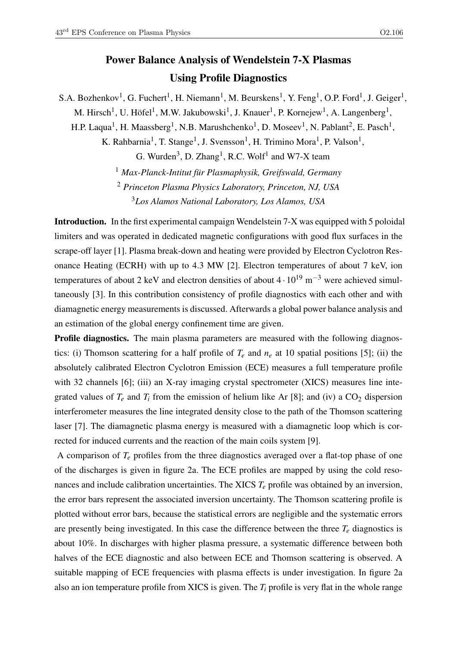## Power Balance Analysis of Wendelstein 7-X Plasmas Using Profile Diagnostics

S.A. Bozhenkov<sup>1</sup>, G. Fuchert<sup>1</sup>, H. Niemann<sup>1</sup>, M. Beurskens<sup>1</sup>, Y. Feng<sup>1</sup>, O.P. Ford<sup>1</sup>, J. Geiger<sup>1</sup>,

M. Hirsch<sup>1</sup>, U. Höfel<sup>1</sup>, M.W. Jakubowski<sup>1</sup>, J. Knauer<sup>1</sup>, P. Kornejew<sup>1</sup>, A. Langenberg<sup>1</sup>,

H.P. Laqua<sup>1</sup>, H. Maassberg<sup>1</sup>, N.B. Marushchenko<sup>1</sup>, D. Moseev<sup>1</sup>, N. Pablant<sup>2</sup>, E. Pasch<sup>1</sup>,

K. Rahbarnia<sup>1</sup>, T. Stange<sup>1</sup>, J. Svensson<sup>1</sup>, H. Trimino Mora<sup>1</sup>, P. Valson<sup>1</sup>,

G. Wurden<sup>3</sup>, D. Zhang<sup>1</sup>, R.C. Wolf<sup>1</sup> and W7-X team

<sup>1</sup> *Max-Planck-Intitut für Plasmaphysik, Greifswald, Germany*

<sup>2</sup> *Princeton Plasma Physics Laboratory, Princeton, NJ, USA*

<sup>3</sup>*Los Alamos National Laboratory, Los Alamos, USA*

Introduction. In the first experimental campaign Wendelstein 7-X was equipped with 5 poloidal limiters and was operated in dedicated magnetic configurations with good flux surfaces in the scrape-off layer [1]. Plasma break-down and heating were provided by Electron Cyclotron Resonance Heating (ECRH) with up to 4.3 MW [2]. Electron temperatures of about 7 keV, ion temperatures of about 2 keV and electron densities of about  $4 \cdot 10^{19}$  m<sup>-3</sup> were achieved simultaneously [3]. In this contribution consistency of profile diagnostics with each other and with diamagnetic energy measurements is discussed. Afterwards a global power balance analysis and an estimation of the global energy confinement time are given.

**Profile diagnostics.** The main plasma parameters are measured with the following diagnostics: (i) Thomson scattering for a half profile of  $T_e$  and  $n_e$  at 10 spatial positions [5]; (ii) the absolutely calibrated Electron Cyclotron Emission (ECE) measures a full temperature profile with 32 channels [6]; (iii) an X-ray imaging crystal spectrometer (XICS) measures line integrated values of  $T_e$  and  $T_i$  from the emission of helium like Ar [8]; and (iv) a  $CO_2$  dispersion interferometer measures the line integrated density close to the path of the Thomson scattering laser [7]. The diamagnetic plasma energy is measured with a diamagnetic loop which is corrected for induced currents and the reaction of the main coils system [9].

A comparison of *T<sup>e</sup>* profiles from the three diagnostics averaged over a flat-top phase of one of the discharges is given in figure 2a. The ECE profiles are mapped by using the cold resonances and include calibration uncertainties. The XICS *T<sup>e</sup>* profile was obtained by an inversion, the error bars represent the associated inversion uncertainty. The Thomson scattering profile is plotted without error bars, because the statistical errors are negligible and the systematic errors are presently being investigated. In this case the difference between the three  $T_e$  diagnostics is about 10%. In discharges with higher plasma pressure, a systematic difference between both halves of the ECE diagnostic and also between ECE and Thomson scattering is observed. A suitable mapping of ECE frequencies with plasma effects is under investigation. In figure 2a also an ion temperature profile from XICS is given. The *T<sup>i</sup>* profile is very flat in the whole range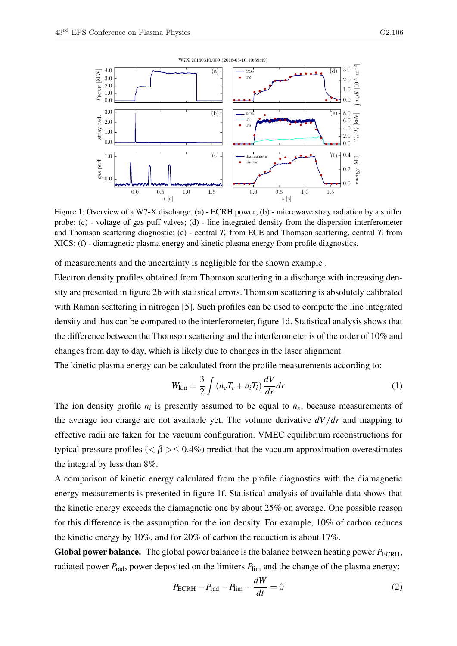

Figure 1: Overview of a W7-X discharge. (a) - ECRH power; (b) - microwave stray radiation by a sniffer probe; (c) - voltage of gas puff valves; (d) - line integrated density from the dispersion interferometer and Thomson scattering diagnostic; (e) - central  $T_e$  from ECE and Thomson scattering, central  $T_i$  from XICS; (f) - diamagnetic plasma energy and kinetic plasma energy from profile diagnostics.

of measurements and the uncertainty is negligible for the shown example .

Electron density profiles obtained from Thomson scattering in a discharge with increasing density are presented in figure 2b with statistical errors. Thomson scattering is absolutely calibrated with Raman scattering in nitrogen [5]. Such profiles can be used to compute the line integrated density and thus can be compared to the interferometer, figure 1d. Statistical analysis shows that the difference between the Thomson scattering and the interferometer is of the order of 10% and changes from day to day, which is likely due to changes in the laser alignment.

The kinetic plasma energy can be calculated from the profile measurements according to:

$$
W_{\rm kin} = \frac{3}{2} \int \left( n_e T_e + n_i T_i \right) \frac{dV}{dr} dr \tag{1}
$$

The ion density profile  $n_i$  is presently assumed to be equal to  $n_e$ , because measurements of the average ion charge are not available yet. The volume derivative *dV*/*dr* and mapping to effective radii are taken for the vacuum configuration. VMEC equilibrium reconstructions for typical pressure profiles ( $\lt \beta$  >  $\lt$  0.4%) predict that the vacuum approximation overestimates the integral by less than 8%.

A comparison of kinetic energy calculated from the profile diagnostics with the diamagnetic energy measurements is presented in figure 1f. Statistical analysis of available data shows that the kinetic energy exceeds the diamagnetic one by about 25% on average. One possible reason for this difference is the assumption for the ion density. For example, 10% of carbon reduces the kinetic energy by 10%, and for 20% of carbon the reduction is about 17%.

Global power balance. The global power balance is the balance between heating power  $P_{\text{ECRH}}$ , radiated power  $P_{rad}$ , power deposited on the limiters  $P_{lim}$  and the change of the plasma energy:

$$
P_{\text{ECRH}} - P_{\text{rad}} - P_{\text{lim}} - \frac{dW}{dt} = 0
$$
\n(2)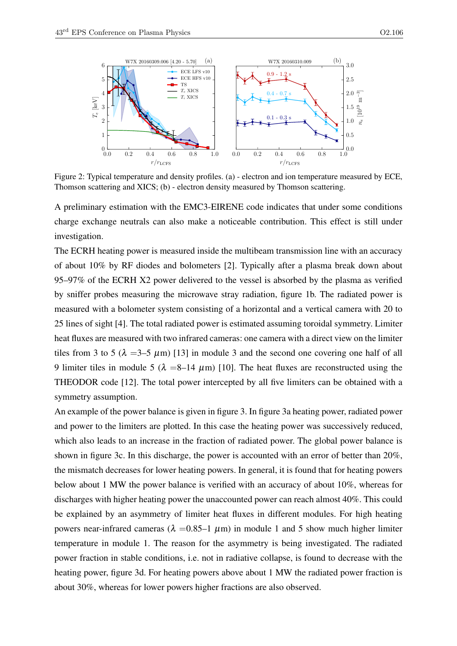

Figure 2: Typical temperature and density profiles. (a) - electron and ion temperature measured by ECE, Thomson scattering and XICS; (b) - electron density measured by Thomson scattering.

A preliminary estimation with the EMC3-EIRENE code indicates that under some conditions charge exchange neutrals can also make a noticeable contribution. This effect is still under investigation.

The ECRH heating power is measured inside the multibeam transmission line with an accuracy of about 10% by RF diodes and bolometers [2]. Typically after a plasma break down about 95–97% of the ECRH X2 power delivered to the vessel is absorbed by the plasma as verified by sniffer probes measuring the microwave stray radiation, figure 1b. The radiated power is measured with a bolometer system consisting of a horizontal and a vertical camera with 20 to 25 lines of sight [4]. The total radiated power is estimated assuming toroidal symmetry. Limiter heat fluxes are measured with two infrared cameras: one camera with a direct view on the limiter tiles from 3 to 5 ( $\lambda$  =3–5  $\mu$ m) [13] in module 3 and the second one covering one half of all 9 limiter tiles in module 5 ( $\lambda = 8-14 \mu$ m) [10]. The heat fluxes are reconstructed using the THEODOR code [12]. The total power intercepted by all five limiters can be obtained with a symmetry assumption.

An example of the power balance is given in figure 3. In figure 3a heating power, radiated power and power to the limiters are plotted. In this case the heating power was successively reduced, which also leads to an increase in the fraction of radiated power. The global power balance is shown in figure 3c. In this discharge, the power is accounted with an error of better than 20%, the mismatch decreases for lower heating powers. In general, it is found that for heating powers below about 1 MW the power balance is verified with an accuracy of about 10%, whereas for discharges with higher heating power the unaccounted power can reach almost 40%. This could be explained by an asymmetry of limiter heat fluxes in different modules. For high heating powers near-infrared cameras (λ = 0.85–1 μm) in module 1 and 5 show much higher limiter temperature in module 1. The reason for the asymmetry is being investigated. The radiated power fraction in stable conditions, i.e. not in radiative collapse, is found to decrease with the heating power, figure 3d. For heating powers above about 1 MW the radiated power fraction is about 30%, whereas for lower powers higher fractions are also observed.